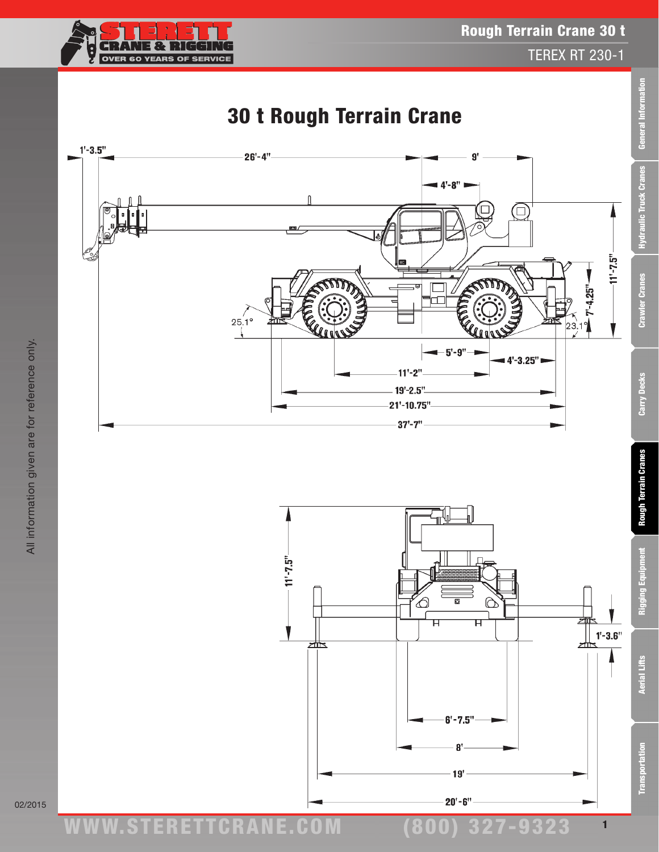ww.TDKv.com

1

Δ







# 30 t Rough Terrain Crane

Transportation Aerial Lifts Rigging Equipment Rough Terrain Cranes Carry Decks Crawler Cranes Hydraulic Truck Cranes General Information

**Rough Terrain Cranes** 

Rigging Equipm

**Aerial Lifts** 

**Transportation** 

Carry Decks

General Information

**Hydraulic Truck Cranes** 

**Crawler Cranes**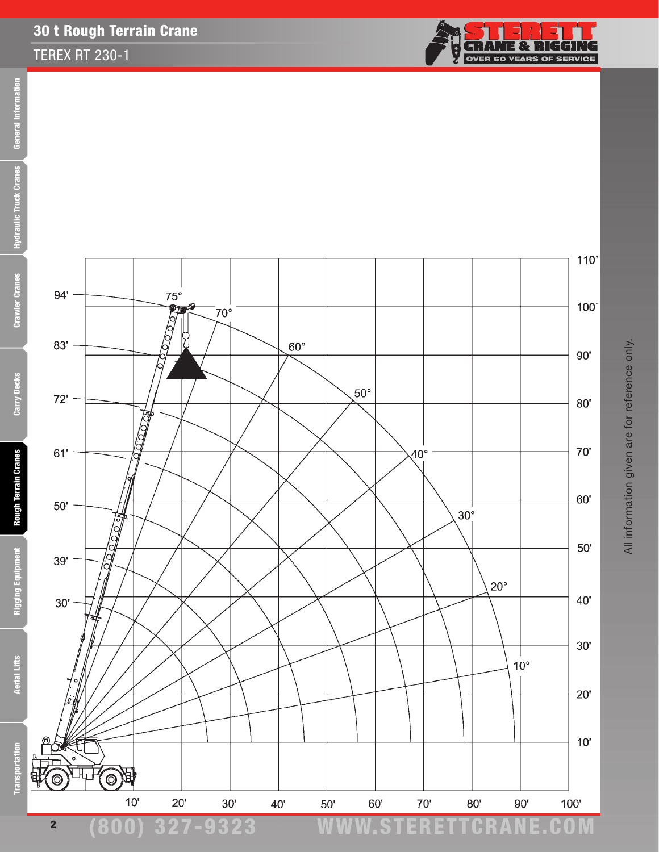#### TEREX RT 230-1





(800) 327-9323 www.STERETTCRAnE.Com

All information given are for reference only. All information given are for reference only.

**Aerial Lifts** 

**Transportation** 

2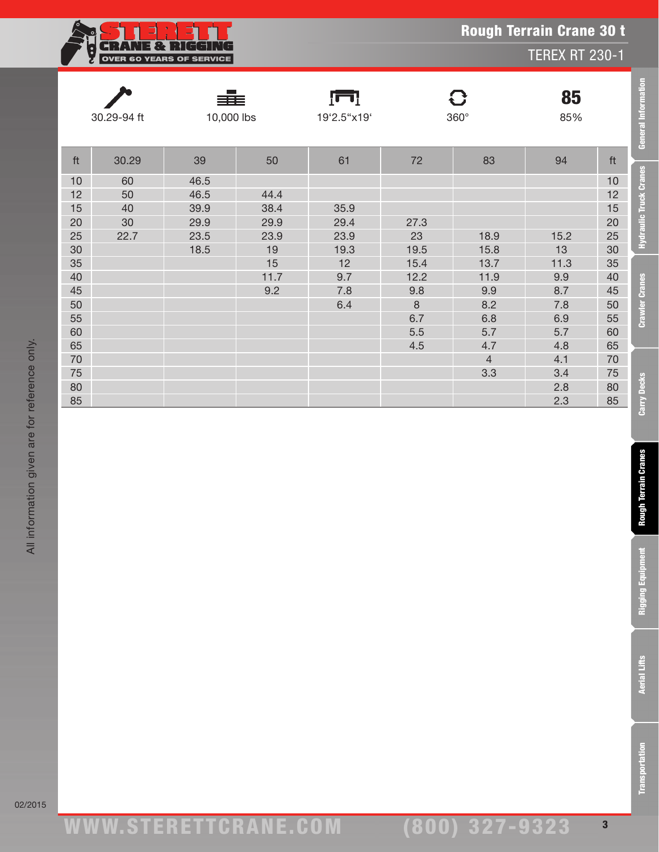| 18 H                            |
|---------------------------------|
| <b>OVER 60 YEARS OF SERVICE</b> |

|                                                                                                                    | 30.29-94 ft                      | 10,000 lbs                                   |                                                         | ſш<br>19'2.5"x19'                                           |                                                                           | $\mathbf{C}$<br>85<br>$360^\circ$<br>85%                                                 |                                                                                                |                                                                                                        | General Information                                                                                                                                            |
|--------------------------------------------------------------------------------------------------------------------|----------------------------------|----------------------------------------------|---------------------------------------------------------|-------------------------------------------------------------|---------------------------------------------------------------------------|------------------------------------------------------------------------------------------|------------------------------------------------------------------------------------------------|--------------------------------------------------------------------------------------------------------|----------------------------------------------------------------------------------------------------------------------------------------------------------------|
| ft                                                                                                                 | 30.29                            | 39                                           | 50                                                      | 61                                                          | $72\,$                                                                    | 83                                                                                       | 94                                                                                             | ft                                                                                                     |                                                                                                                                                                |
| 10<br>12<br>15<br>$20\,$<br>25<br>$30\,$<br>35<br>40<br>45<br>$50\,$<br>55<br>60<br>65<br>$70\,$<br>75<br>80<br>85 | 60<br>50<br>40<br>$30\,$<br>22.7 | 46.5<br>46.5<br>39.9<br>29.9<br>23.5<br>18.5 | 44.4<br>38.4<br>29.9<br>23.9<br>19<br>15<br>11.7<br>9.2 | 35.9<br>29.4<br>23.9<br>19.3<br>12<br>9.7<br>7.8<br>$6.4\,$ | 27.3<br>23<br>19.5<br>15.4<br>12.2<br>9.8<br>$\,8\,$<br>6.7<br>5.5<br>4.5 | 18.9<br>15.8<br>13.7<br>11.9<br>9.9<br>8.2<br>6.8<br>5.7<br>4.7<br>$\overline{4}$<br>3.3 | 15.2<br>$13$<br>11.3<br>9.9<br>$8.7\,$<br>7.8<br>6.9<br>5.7<br>4.8<br>4.1<br>3.4<br>2.8<br>2.3 | 10<br>12<br>15<br>20<br>25<br>$30\,$<br>35<br>40<br>45<br>50<br>55<br>60<br>65<br>70<br>75<br>80<br>85 | <b>Hydraulic Truck Cranes</b><br><b>Crawler Cranes</b><br><b>Carry Decks</b><br><b>Rough Terrain Granes</b><br><b>Rigging Equipment</b><br><b>Aerial Lifts</b> |
|                                                                                                                    |                                  |                                              |                                                         |                                                             |                                                                           |                                                                                          |                                                                                                |                                                                                                        | ransportation                                                                                                                                                  |

L

**Transportation** 

Rough Terrain Crane 30 t

TEREX RT 230-1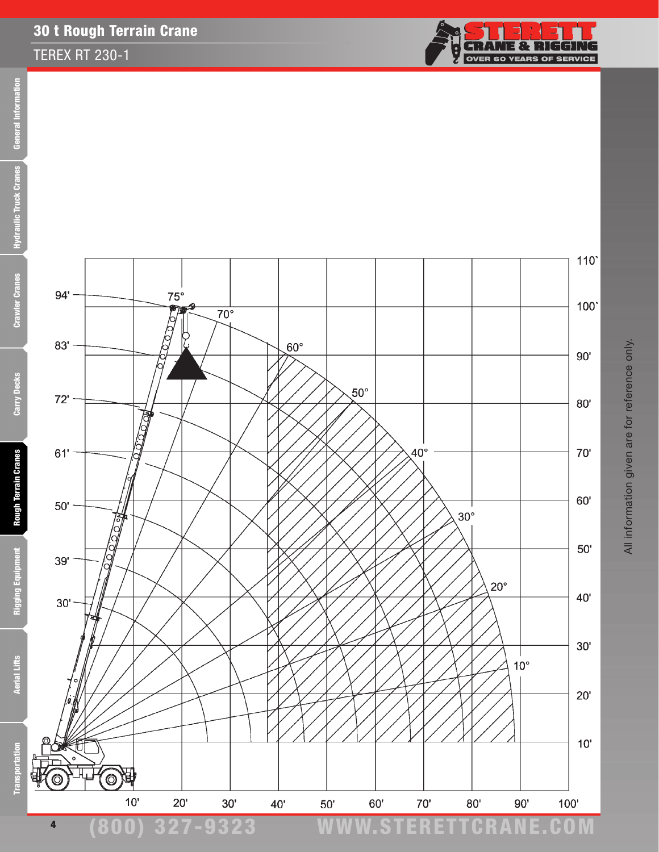#### TEREX RT 230-1





**Rigging Equipment** 

**Aerial Lifts** 

**E** 

Transpor



4





(800) 327-9323 www.STERETTCRAnE.Com

 $110$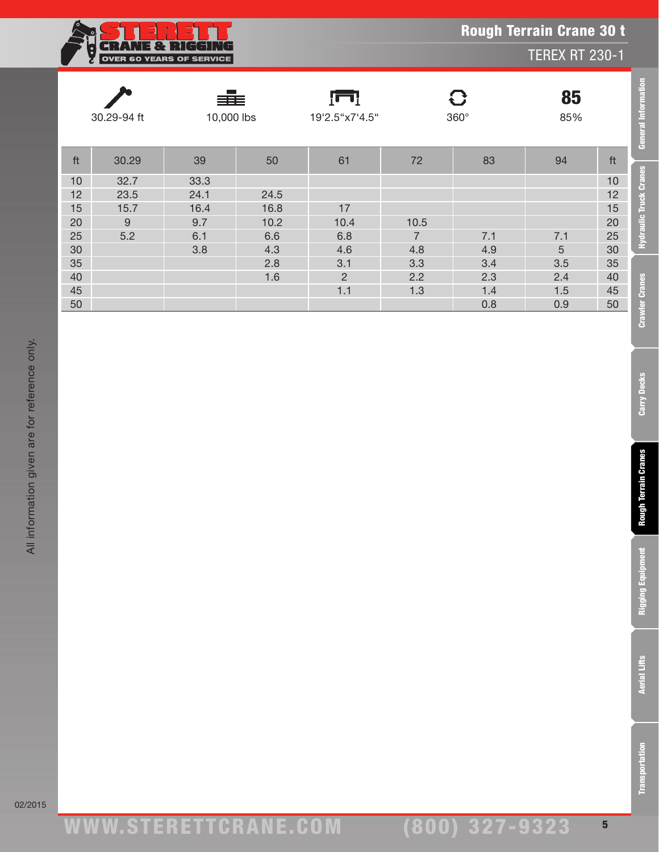|  | <b>Rough Terrain Crane 30 t</b> |  |  |
|--|---------------------------------|--|--|
|--|---------------------------------|--|--|

TEREX RT 230-1



| 30.29-94 ft |       | ≣≣≣<br>10,000 lbs |      | <u>im</u> i<br>19'2.5"x7'4.5" |                | $\mathbf G$<br>$360^\circ$ | 85<br>85%       |    | <b>General Information</b>    |
|-------------|-------|-------------------|------|-------------------------------|----------------|----------------------------|-----------------|----|-------------------------------|
| ft          | 30.29 | 39                | 50   | 61                            | 72             | 83                         | 94              | ft |                               |
| 10          | 32.7  | 33.3              |      |                               |                |                            |                 | 10 | <b>Hydraulic Truck Cranes</b> |
| 12          | 23.5  | 24.1              | 24.5 |                               |                |                            |                 | 12 |                               |
| 15          | 15.7  | 16.4              | 16.8 | 17                            |                |                            |                 | 15 |                               |
| 20          | 9     | 9.7               | 10.2 | 10.4                          | 10.5           |                            |                 | 20 |                               |
| 25          | 5.2   | 6.1               | 6.6  | 6.8                           | $\overline{7}$ | 7.1                        | 7.1             | 25 |                               |
| 30          |       | 3.8               | 4.3  | 4.6                           | 4.8            | 4.9                        | $5\overline{)}$ | 30 |                               |
| 35          |       |                   | 2.8  | 3.1                           | 3.3            | 3.4                        | 3.5             | 35 |                               |
| 40          |       |                   | 1.6  | $\overline{2}$                | 2.2            | 2.3                        | 2.4             | 40 |                               |
| 45          |       |                   |      | 1.1                           | 1.3            | 1.4                        | 1.5             | 45 |                               |
| 50          |       |                   |      |                               |                | 0.8                        | 0.9             | 50 |                               |
|             |       |                   |      |                               |                |                            |                 |    | <b>Crawler Cranes</b>         |

02/2015

Transportation Aerial Lifts Rigging Equipment Rough Terrain Cranes Carry Decks Crawler Cranes Hydraulic Truck Cranes General Information

**Rough Terrain Cranes** 

**Rigging Equipment** 

**Aerial Lifts** 

**Transportation** 

Carry Decks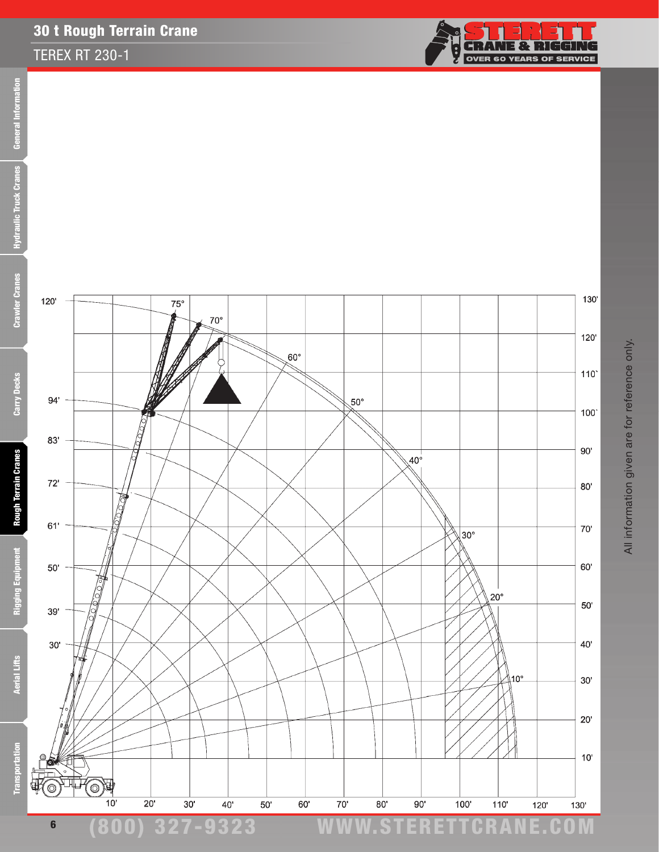#### TEREX RT 230-1





120

 $94'$ 

 $83'$ 

 $72'$ 

 $61'$ 

 $50'$ 

 $39'$ 

 $30'$ 

'c

 $\bigcirc$ 

₹

**Rigging Equipment** 

**Aerial Lifts** 

**Transportation** 





6

٥

0

 $\frac{1}{2}$ 







 $75^\circ$ 

 $70^{\circ}$ 



(800) 327-9323 www.STERETTCRAnE.Com

All information given are for reference only. All information given are for reference only.

130'

 $120'$ 

 $110$ 

 $100^\circ$ 

 $90'$ 

 $80'$ 

70'

 $60'$ 

 $50'$ 

 $40'$ 

 $30'$ 

 $20^{\circ}$ 

 $10^{\circ}$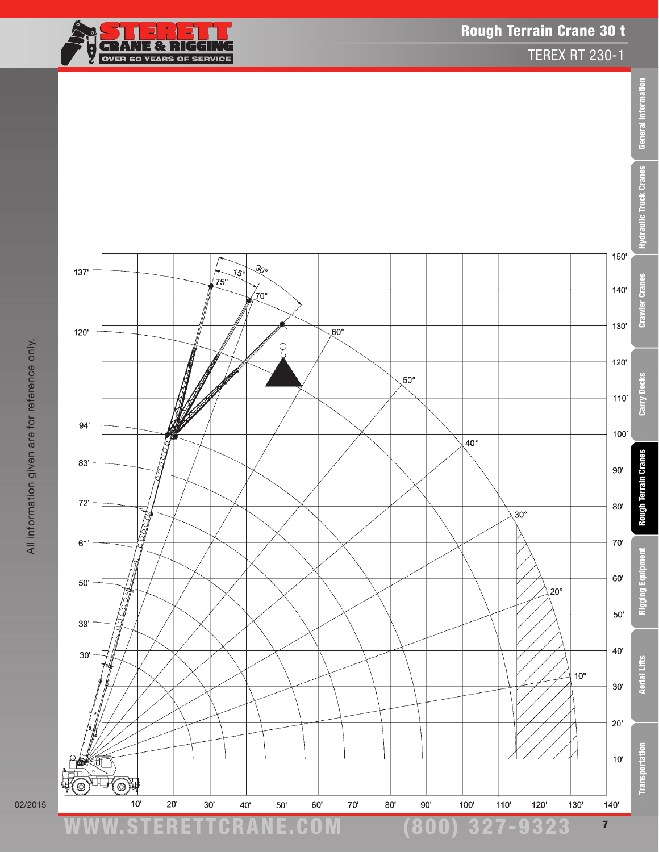

TEREX RT 230-1



02/2015